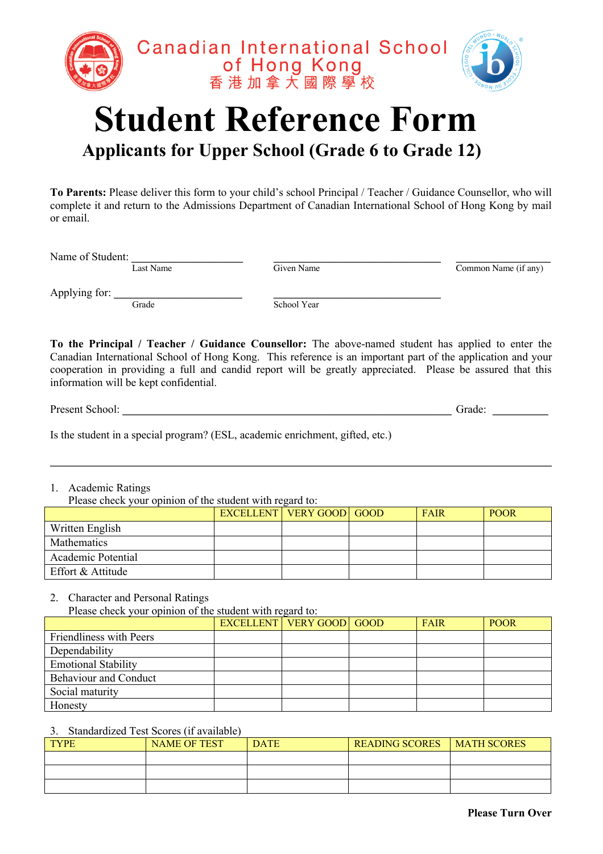

## **Student Reference Form Applicants for Upper School (Grade 6 to Grade 12)**

**To Parents:** Please deliver this form to your child's school Principal / Teacher / Guidance Counsellor, who will complete it and return to the Admissions Department of Canadian International School of Hong Kong by mail or email.

Name of Student: <br>Last Name Given Name

Common Name (if any)

Applying for: \_\_\_\_\_\_\_\_\_\_\_\_\_\_\_\_\_\_\_\_\_\_\_ \_\_\_\_\_\_\_\_\_\_\_\_\_\_\_\_\_\_\_\_\_\_\_\_\_\_\_\_\_\_ Grade School Year

**To the Principal / Teacher / Guidance Counsellor:** The above-named student has applied to enter the Canadian International School of Hong Kong. This reference is an important part of the application and your cooperation in providing a full and candid report will be greatly appreciated. Please be assured that this information will be kept confidential.

Present School: \_\_\_\_\_\_\_\_\_\_\_\_\_\_\_\_\_\_\_\_\_\_\_\_\_\_\_\_\_\_\_\_\_\_\_\_\_\_\_\_\_\_\_\_\_\_\_\_\_\_\_\_\_\_\_\_\_\_\_ Grade: \_\_\_\_\_\_\_\_\_\_

Is the student in a special program? (ESL, academic enrichment, gifted, etc.)

## 1. Academic Ratings

Please check your opinion of the student with regard to:

|                    |  | <b>EXCELLENT   VERY GOOD   GOOD  </b> | <b>FAIR</b> | <b>POOR</b> |
|--------------------|--|---------------------------------------|-------------|-------------|
| Written English    |  |                                       |             |             |
| <b>Mathematics</b> |  |                                       |             |             |
| Academic Potential |  |                                       |             |             |
| Effort & Attitude  |  |                                       |             |             |

 $\mathcal{L}_\mathcal{L} = \mathcal{L}_\mathcal{L} = \mathcal{L}_\mathcal{L} = \mathcal{L}_\mathcal{L} = \mathcal{L}_\mathcal{L} = \mathcal{L}_\mathcal{L} = \mathcal{L}_\mathcal{L} = \mathcal{L}_\mathcal{L} = \mathcal{L}_\mathcal{L} = \mathcal{L}_\mathcal{L} = \mathcal{L}_\mathcal{L} = \mathcal{L}_\mathcal{L} = \mathcal{L}_\mathcal{L} = \mathcal{L}_\mathcal{L} = \mathcal{L}_\mathcal{L} = \mathcal{L}_\mathcal{L} = \mathcal{L}_\mathcal{L}$ 

2. Character and Personal Ratings

Please check your opinion of the student with regard to:

|                              | <b>EXCELLENT VERY GOOD GOOD</b> | <b>FAIR</b> | <b>POOR</b> |
|------------------------------|---------------------------------|-------------|-------------|
| Friendliness with Peers      |                                 |             |             |
| Dependability                |                                 |             |             |
| <b>Emotional Stability</b>   |                                 |             |             |
| <b>Behaviour and Conduct</b> |                                 |             |             |
| Social maturity              |                                 |             |             |
| Honesty                      |                                 |             |             |

## 3. Standardized Test Scores (if available)

| <b>TYPE</b> | <b>NAME OF TEST</b> | <b>DATE</b> | <b>READING SCORES</b> | <b>MATH SCORES</b> |
|-------------|---------------------|-------------|-----------------------|--------------------|
|             |                     |             |                       |                    |
|             |                     |             |                       |                    |
|             |                     |             |                       |                    |